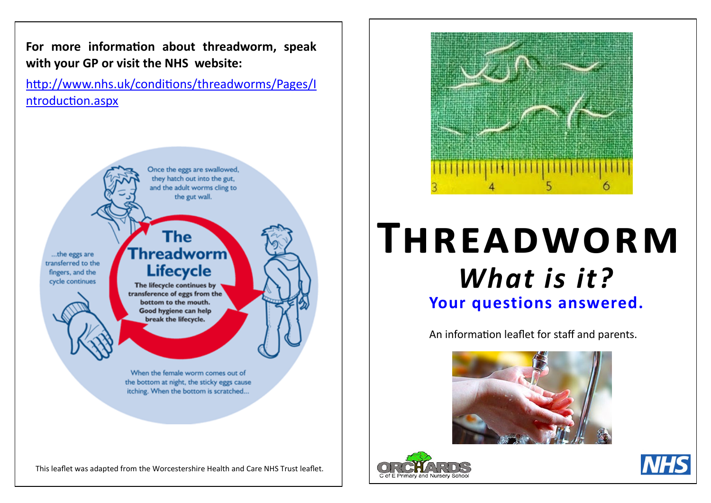**For more information about threadworm, speak with your GP or visit the NHS website:** 

[http://www.nhs.uk/conditions/threadworms/Pages/I](http://www.nhs.uk/conditions/threadworms/Pages/Introduction.aspx) [ntroduction.aspx](http://www.nhs.uk/conditions/threadworms/Pages/Introduction.aspx)

> Once the eggs are swallowed, they hatch out into the gut, and the adult worms cling to the gut wall.

...the eggs are transferred to the fingers, and the cycle continues

## The **Threadworm Lifecycle**

The lifecycle continues by transference of eggs from the bottom to the mouth. Good hygiene can help break the lifecycle.

When the female worm comes out of the bottom at night, the sticky eggs cause itching. When the bottom is scratched...

This leaflet was adapted from the Worcestershire Health and Care NHS Trust leaflet.



# **THREADWORM Your questions answered.** *What is it?*

An information leaflet for staff and parents.